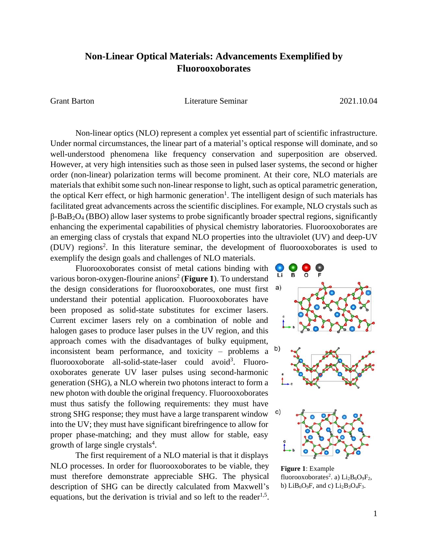## **Non-Linear Optical Materials: Advancements Exemplified by Fluorooxoborates**

Grant Barton Literature Seminar 2021.10.04

Non-linear optics (NLO) represent a complex yet essential part of scientific infrastructure. Under normal circumstances, the linear part of a material's optical response will dominate, and so well-understood phenomena like frequency conservation and superposition are observed. However, at very high intensities such as those seen in pulsed laser systems, the second or higher order (non-linear) polarization terms will become prominent. At their core, NLO materials are materials that exhibit some such non-linear response to light, such as optical parametric generation, the optical Kerr effect, or high harmonic generation<sup>1</sup>. The intelligent design of such materials has facilitated great advancements across the scientific disciplines. For example, NLO crystals such as β-BaB2O<sup>4</sup> (BBO) allow laser systems to probe significantly broader spectral regions, significantly enhancing the experimental capabilities of physical chemistry laboratories. Fluorooxoborates are an emerging class of crystals that expand NLO properties into the ultraviolet (UV) and deep-UV (DUV) regions<sup>2</sup>. In this literature seminar, the development of fluorooxoborates is used to exemplify the design goals and challenges of NLO materials.

Fluorooxoborates consist of metal cations binding with various boron-oxygen-flourine anions<sup>2</sup> (Figure 1). To understand the design considerations for fluorooxoborates, one must first a) understand their potential application. Fluorooxoborates have been proposed as solid-state substitutes for excimer lasers. Current excimer lasers rely on a combination of noble and halogen gases to produce laser pulses in the UV region, and this approach comes with the disadvantages of bulky equipment, inconsistent beam performance, and toxicity – problems a fluorooxoborate all-solid-state-laser could avoid<sup>3</sup>. Fluorooxoborates generate UV laser pulses using second-harmonic generation (SHG), a NLO wherein two photons interact to form a new photon with double the original frequency. Fluorooxoborates must thus satisfy the following requirements: they must have strong SHG response; they must have a large transparent window into the UV; they must have significant birefringence to allow for proper phase-matching; and they must allow for stable, easy growth of large single crystals<sup>4</sup>.

The first requirement of a NLO material is that it displays NLO processes. In order for fluorooxoborates to be viable, they must therefore demonstrate appreciable SHG. The physical description of SHG can be directly calculated from Maxwell's equations, but the derivation is trivial and so left to the reader<sup>1,5</sup>.



**Figure 1**: Example fluorooxoborates<sup>2</sup>. a)  $Li_2B_6O_9F_2$ , b)  $LiB_6O_9F$ , and c)  $Li_2B_3O_4F_3$ .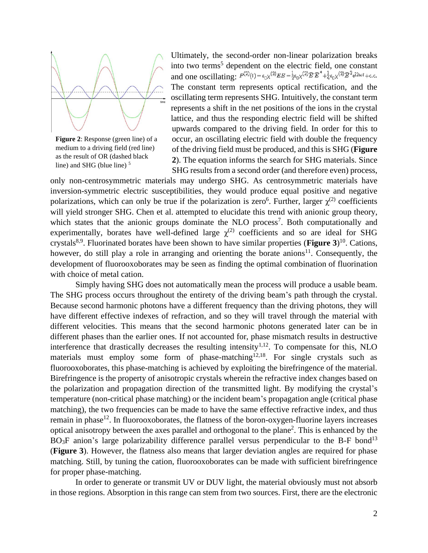

**Figure 2**: Response (green line) of a medium to a driving field (red line) as the result of OR (dashed black line) and SHG (blue line)<sup>5</sup>

Ultimately, the second-order non-linear polarization breaks into two terms<sup>5</sup> dependent on the electric field, one constant and one oscillating:  $P^{(2)}(t) = \epsilon_0 \chi^{(2)} E E = \frac{1}{2} \epsilon_0 \chi^{(2)} \widehat{E} \widehat{E}^* + \frac{1}{4} \epsilon_0 \chi^{(2)} \widehat{E}^2 e^{i2\omega t} + c.c.$ The constant term represents optical rectification, and the oscillating term represents SHG. Intuitively, the constant term represents a shift in the net positions of the ions in the crystal lattice, and thus the responding electric field will be shifted upwards compared to the driving field. In order for this to occur, an oscillating electric field with double the frequency of the driving field must be produced, and this is SHG (**Figure 2**). The equation informs the search for SHG materials. Since SHG results from a second order (and therefore even) process,

only non-centrosymmetric materials may undergo SHG. As centrosymmetric materials have inversion-symmetric electric susceptibilities, they would produce equal positive and negative polarizations, which can only be true if the polarization is zero<sup>6</sup>. Further, larger  $\chi^{(2)}$  coefficients will yield stronger SHG. Chen et al. attempted to elucidate this trend with anionic group theory, which states that the anionic groups dominate the NLO process<sup>7</sup>. Both computationally and experimentally, borates have well-defined large  $\chi^{(2)}$  coefficients and so are ideal for SHG crystals8,9 . Fluorinated borates have been shown to have similar properties (**Figure 3**) 10 . Cations, however, do still play a role in arranging and orienting the borate anions $^{11}$ . Consequently, the development of fluorooxoborates may be seen as finding the optimal combination of fluorination with choice of metal cation.

Simply having SHG does not automatically mean the process will produce a usable beam. The SHG process occurs throughout the entirety of the driving beam's path through the crystal. Because second harmonic photons have a different frequency than the driving photons, they will have different effective indexes of refraction, and so they will travel through the material with different velocities. This means that the second harmonic photons generated later can be in different phases than the earlier ones. If not accounted for, phase mismatch results in destructive interference that drastically decreases the resulting intensity<sup>1,12</sup>. To compensate for this, NLO materials must employ some form of phase-matching<sup>12,18</sup>. For single crystals such as fluorooxoborates, this phase-matching is achieved by exploiting the birefringence of the material. Birefringence is the property of anisotropic crystals wherein the refractive index changes based on the polarization and propagation direction of the transmitted light. By modifying the crystal's temperature (non-critical phase matching) or the incident beam's propagation angle (critical phase matching), the two frequencies can be made to have the same effective refractive index, and thus remain in phase<sup>12</sup>. In fluorooxoborates, the flatness of the boron-oxygen-fluorine layers increases optical anisotropy between the axes parallel and orthogonal to the plane 2 . This is enhanced by the  $BO<sub>3</sub>F$  anion's large polarizability difference parallel versus perpendicular to the B-F bond<sup>13</sup> (**Figure 3**). However, the flatness also means that larger deviation angles are required for phase matching. Still, by tuning the cation, fluorooxoborates can be made with sufficient birefringence for proper phase-matching.

In order to generate or transmit UV or DUV light, the material obviously must not absorb in those regions. Absorption in this range can stem from two sources. First, there are the electronic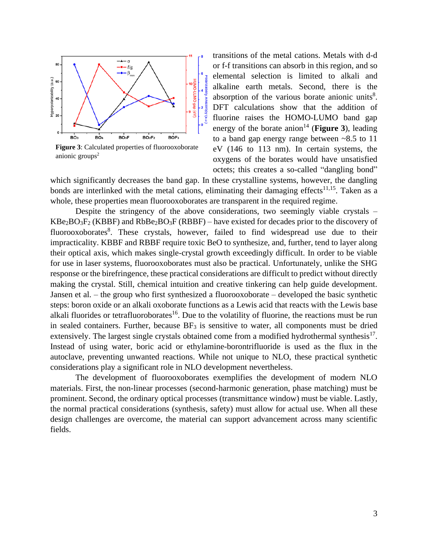

**Figure 3**: Calculated properties of fluorooxoborate anionic groups $2$ 

transitions of the metal cations. Metals with d-d or f-f transitions can absorb in this region, and so elemental selection is limited to alkali and alkaline earth metals. Second, there is the absorption of the various borate anionic units $8$ . DFT calculations show that the addition of fluorine raises the HOMO-LUMO band gap energy of the borate anion<sup>14</sup> (**Figure 3**), leading to a band gap energy range between ~8.5 to 11 eV (146 to 113 nm). In certain systems, the oxygens of the borates would have unsatisfied octets; this creates a so-called "dangling bond"

which significantly decreases the band gap. In these crystalline systems, however, the dangling bonds are interlinked with the metal cations, eliminating their damaging effects<sup>11,15</sup>. Taken as a whole, these properties mean fluorooxoborates are transparent in the required regime.

Despite the stringency of the above considerations, two seemingly viable crystals –  $KBe_2BO_3F_2$  (KBBF) and  $RbBe_2BO_3F$  (RBBF) – have existed for decades prior to the discovery of fluorooxoborates<sup>8</sup>. These crystals, however, failed to find widespread use due to their impracticality. KBBF and RBBF require toxic BeO to synthesize, and, further, tend to layer along their optical axis, which makes single-crystal growth exceedingly difficult. In order to be viable for use in laser systems, fluorooxoborates must also be practical. Unfortunately, unlike the SHG response or the birefringence, these practical considerations are difficult to predict without directly making the crystal. Still, chemical intuition and creative tinkering can help guide development. Jansen et al. – the group who first synthesized a fluorooxoborate – developed the basic synthetic steps: boron oxide or an alkali oxoborate functions as a Lewis acid that reacts with the Lewis base alkali fluorides or tetrafluoroborates<sup>16</sup>. Due to the volatility of fluorine, the reactions must be run in sealed containers. Further, because  $BF_3$  is sensitive to water, all components must be dried extensively. The largest single crystals obtained come from a modified hydrothermal synthesis $17$ . Instead of using water, boric acid or ethylamine-borontrifluoride is used as the flux in the autoclave, preventing unwanted reactions. While not unique to NLO, these practical synthetic considerations play a significant role in NLO development nevertheless.

The development of fluorooxoborates exemplifies the development of modern NLO materials. First, the non-linear processes (second-harmonic generation, phase matching) must be prominent. Second, the ordinary optical processes (transmittance window) must be viable. Lastly, the normal practical considerations (synthesis, safety) must allow for actual use. When all these design challenges are overcome, the material can support advancement across many scientific fields.